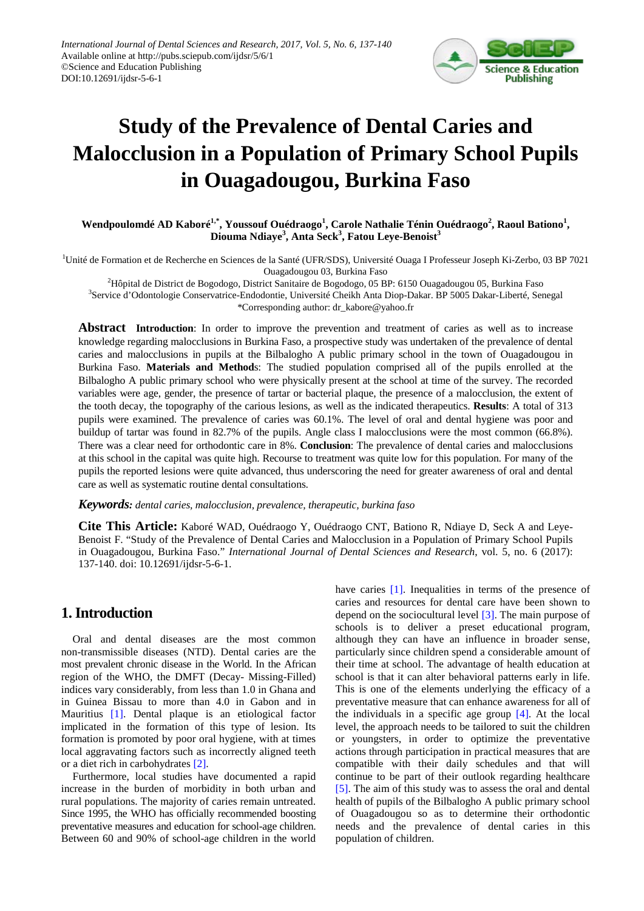

# **Study of the Prevalence of Dental Caries and Malocclusion in a Population of Primary School Pupils in Ouagadougou, Burkina Faso**

**Wendpoulomdé AD Kaboré1,\* , Youssouf Ouédraogo<sup>1</sup> , Carole Nathalie Ténin Ouédraogo<sup>2</sup> , Raoul Bationo<sup>1</sup> , Diouma Ndiaye<sup>3</sup> , Anta Seck3 , Fatou Leye-Benoist<sup>3</sup>**

<sup>1</sup>Unité de Formation et de Recherche en Sciences de la Santé (UFR/SDS), Université Ouaga I Professeur Joseph Ki-Zerbo, 03 BP 7021 Ouagadougou 03, Burkina Faso

 $^{2}$ Hôpital de District de Bogodogo, District Sanitaire de Bogodogo, 05 BP: 6150 Ouagadougou 05, Burkina Faso <sup>3</sup>Service d'Odontologie Conservatrice-Endodontie, Université Cheikh Anta Diop-Dakar. BP 5005 Dakar-Liberté, Senegal \*Corresponding author: dr\_kabore@yahoo.fr

**Abstract Introduction**: In order to improve the prevention and treatment of caries as well as to increase knowledge regarding malocclusions in Burkina Faso, a prospective study was undertaken of the prevalence of dental caries and malocclusions in pupils at the Bilbalogho A public primary school in the town of Ouagadougou in Burkina Faso. **Materials and Method**s: The studied population comprised all of the pupils enrolled at the Bilbalogho A public primary school who were physically present at the school at time of the survey. The recorded variables were age, gender, the presence of tartar or bacterial plaque, the presence of a malocclusion, the extent of the tooth decay, the topography of the carious lesions, as well as the indicated therapeutics. **Results**: A total of 313 pupils were examined. The prevalence of caries was 60.1%. The level of oral and dental hygiene was poor and buildup of tartar was found in 82.7% of the pupils. Angle class I malocclusions were the most common (66.8%). There was a clear need for orthodontic care in 8%. **Conclusion**: The prevalence of dental caries and malocclusions at this school in the capital was quite high. Recourse to treatment was quite low for this population. For many of the pupils the reported lesions were quite advanced, thus underscoring the need for greater awareness of oral and dental care as well as systematic routine dental consultations.

*Keywords: dental caries, malocclusion, prevalence, therapeutic, burkina faso*

**Cite This Article:** Kaboré WAD, Ouédraogo Y, Ouédraogo CNT, Bationo R, Ndiaye D, Seck A and Leye-Benoist F. "Study of the Prevalence of Dental Caries and Malocclusion in a Population of Primary School Pupils in Ouagadougou, Burkina Faso." *International Journal of Dental Sciences and Research*, vol. 5, no. 6 (2017): 137-140. doi: 10.12691/ijdsr-5-6-1.

# **1. Introduction**

Oral and dental diseases are the most common non-transmissible diseases (NTD). Dental caries are the most prevalent chronic disease in the World. In the African region of the WHO, the DMFT (Decay- Missing-Filled) indices vary considerably, from less than 1.0 in Ghana and in Guinea Bissau to more than 4.0 in Gabon and in Mauritius [\[1\].](#page-3-0) Dental plaque is an etiological factor implicated in the formation of this type of lesion. Its formation is promoted by poor oral hygiene, with at times local aggravating factors such as incorrectly aligned teeth or a diet rich in carbohydrates [\[2\].](#page-3-1)

Furthermore, local studies have documented a rapid increase in the burden of morbidity in both urban and rural populations. The majority of caries remain untreated. Since 1995, the WHO has officially recommended boosting preventative measures and education for school-age children. Between 60 and 90% of school-age children in the world have caries [\[1\].](#page-3-0) Inequalities in terms of the presence of caries and resources for dental care have been shown to depend on the sociocultural level [\[3\].](#page-3-2) The main purpose of schools is to deliver a preset educational program, although they can have an influence in broader sense, particularly since children spend a considerable amount of their time at school. The advantage of health education at school is that it can alter behavioral patterns early in life. This is one of the elements underlying the efficacy of a preventative measure that can enhance awareness for all of the individuals in a specific age group  $[4]$ . At the local level, the approach needs to be tailored to suit the children or youngsters, in order to optimize the preventative actions through participation in practical measures that are compatible with their daily schedules and that will continue to be part of their outlook regarding healthcare [\[5\].](#page-3-4) The aim of this study was to assess the oral and dental health of pupils of the Bilbalogho A public primary school of Ouagadougou so as to determine their orthodontic needs and the prevalence of dental caries in this population of children.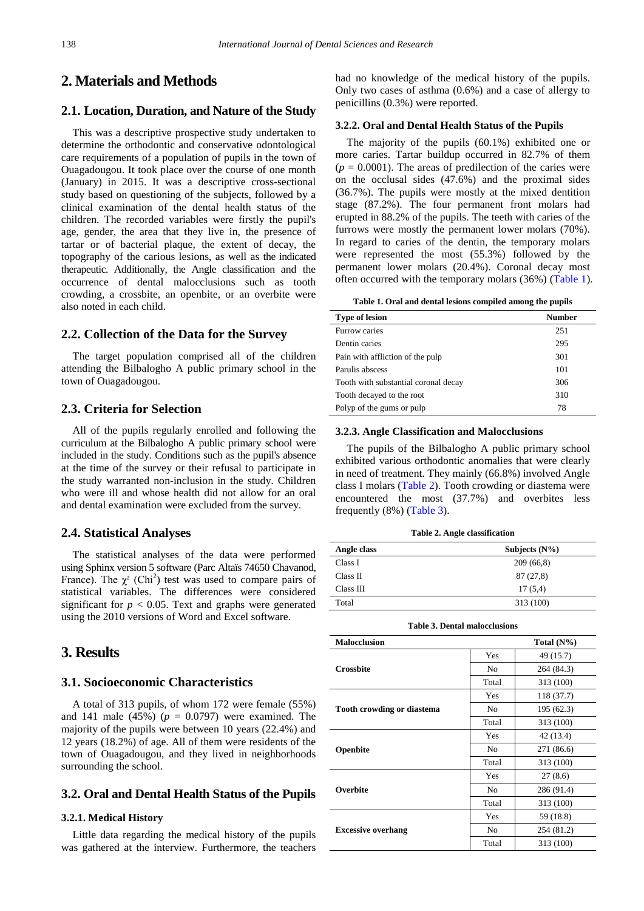# **2. Materials and Methods**

#### **2.1. Location, Duration, and Nature of the Study**

This was a descriptive prospective study undertaken to determine the orthodontic and conservative odontological care requirements of a population of pupils in the town of Ouagadougou. It took place over the course of one month (January) in 2015. It was a descriptive cross-sectional study based on questioning of the subjects, followed by a clinical examination of the dental health status of the children. The recorded variables were firstly the pupil's age, gender, the area that they live in, the presence of tartar or of bacterial plaque, the extent of decay, the topography of the carious lesions, as well as the indicated therapeutic. Additionally, the Angle classification and the occurrence of dental malocclusions such as tooth crowding, a crossbite, an openbite, or an overbite were also noted in each child.

#### **2.2. Collection of the Data for the Survey**

The target population comprised all of the children attending the Bilbalogho A public primary school in the town of Ouagadougou.

#### **2.3. Criteria for Selection**

All of the pupils regularly enrolled and following the curriculum at the Bilbalogho A public primary school were included in the study. Conditions such as the pupil's absence at the time of the survey or their refusal to participate in the study warranted non-inclusion in the study. Children who were ill and whose health did not allow for an oral and dental examination were excluded from the survey.

#### **2.4. Statistical Analyses**

The statistical analyses of the data were performed using Sphinx version 5 software (Parc Altaïs 74650 Chavanod, France). The  $\chi^2$  (Chi<sup>2</sup>) test was used to compare pairs of statistical variables. The differences were considered significant for  $p < 0.05$ . Text and graphs were generated using the 2010 versions of Word and Excel software.

### **3. Results**

#### **3.1. Socioeconomic Characteristics**

A total of 313 pupils, of whom 172 were female (55%) and 141 male (45%) ( $p = 0.0797$ ) were examined. The majority of the pupils were between 10 years (22.4%) and 12 years (18.2%) of age. All of them were residents of the town of Ouagadougou, and they lived in neighborhoods surrounding the school.

#### **3.2. Oral and Dental Health Status of the Pupils**

#### **3.2.1. Medical History**

Little data regarding the medical history of the pupils was gathered at the interview. Furthermore, the teachers had no knowledge of the medical history of the pupils. Only two cases of asthma (0.6%) and a case of allergy to penicillins (0.3%) were reported.

#### **3.2.2. Oral and Dental Health Status of the Pupils**

The majority of the pupils (60.1%) exhibited one or more caries. Tartar buildup occurred in 82.7% of them  $(p = 0.0001)$ . The areas of predilection of the caries were on the occlusal sides (47.6%) and the proximal sides (36.7%). The pupils were mostly at the mixed dentition stage (87.2%). The four permanent front molars had erupted in 88.2% of the pupils. The teeth with caries of the furrows were mostly the permanent lower molars (70%). In regard to caries of the dentin, the temporary molars were represented the most (55.3%) followed by the permanent lower molars (20.4%). Coronal decay most often occurred with the temporary molars (36%) [\(Table 1\)](#page-1-0).

| Table 1. Oral and dental lesions compiled among the pupils |  |
|------------------------------------------------------------|--|
|------------------------------------------------------------|--|

<span id="page-1-0"></span>

| <b>Type of lesion</b>                | <b>Number</b> |
|--------------------------------------|---------------|
| Furrow caries                        | 251           |
| Dentin caries                        | 295           |
| Pain with affliction of the pulp     | 301           |
| Parulis abscess                      | 101           |
| Tooth with substantial coronal decay | 306           |
| Tooth decayed to the root            | 310           |
| Polyp of the gums or pulp            | 78            |

#### **3.2.3. Angle Classification and Malocclusions**

The pupils of the Bilbalogho A public primary school exhibited various orthodontic anomalies that were clearly in need of treatment. They mainly (66.8%) involved Angle class I molars [\(Table 2\)](#page-1-1). Tooth crowding or diastema were encountered the most (37.7%) and overbites less frequently (8%) [\(Table 3\)](#page-1-2).

|  |  |  |  | Table 2. Angle classification |  |
|--|--|--|--|-------------------------------|--|
|--|--|--|--|-------------------------------|--|

<span id="page-1-1"></span>

| Angle class | Subjects $(N\%)$ |
|-------------|------------------|
| Class I     | 209(66,8)        |
| Class II    | 87(27,8)         |
| Class III   | 17(5,4)          |
| Total       | 313 (100)        |

| <b>Table 3. Dental malocclusions</b> |  |
|--------------------------------------|--|
|                                      |  |

<span id="page-1-2"></span>

| <b>Malocclusion</b>               |                | Total $(N\%)$ |
|-----------------------------------|----------------|---------------|
|                                   | Yes            | 49 (15.7)     |
| <b>Crossbite</b>                  | N <sub>0</sub> | 264 (84.3)    |
|                                   | Total          | 313 (100)     |
|                                   | Yes            | 118 (37.7)    |
| <b>Tooth crowding or diastema</b> | N <sub>0</sub> | 195 (62.3)    |
|                                   | Total          | 313 (100)     |
| Openbite                          | Yes            | 42 (13.4)     |
|                                   | No             | 271 (86.6)    |
|                                   | Total          | 313 (100)     |
|                                   | Yes            | 27(8.6)       |
| Overbite                          | No             | 286 (91.4)    |
|                                   | Total          | 313 (100)     |
|                                   | Yes            | 59 (18.8)     |
| <b>Excessive overhang</b>         | N <sub>0</sub> | 254 (81.2)    |
|                                   | Total          | 313 (100)     |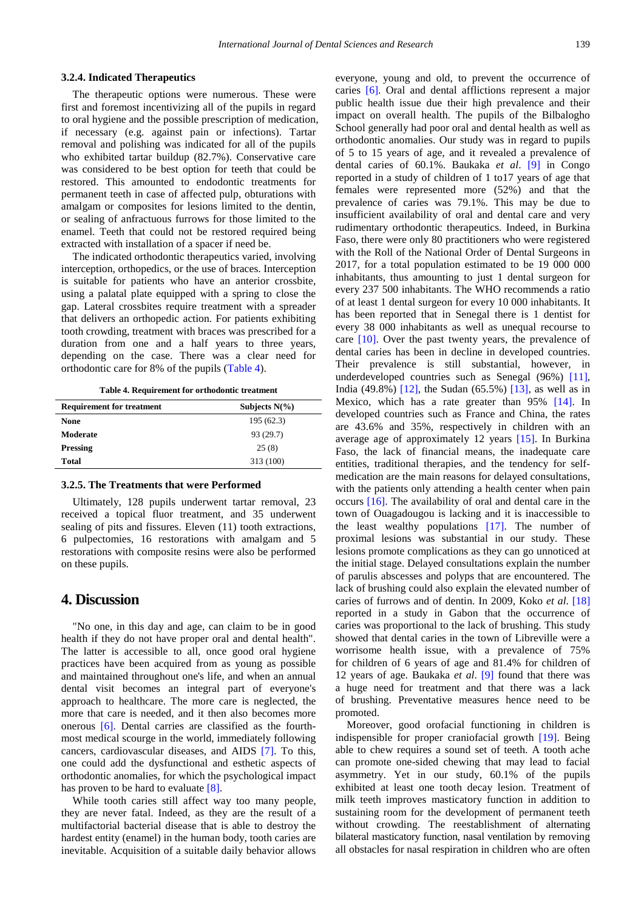#### **3.2.4. Indicated Therapeutics**

The therapeutic options were numerous. These were first and foremost incentivizing all of the pupils in regard to oral hygiene and the possible prescription of medication, if necessary (e.g. against pain or infections). Tartar removal and polishing was indicated for all of the pupils who exhibited tartar buildup (82.7%). Conservative care was considered to be best option for teeth that could be restored. This amounted to endodontic treatments for permanent teeth in case of affected pulp, obturations with amalgam or composites for lesions limited to the dentin, or sealing of anfractuous furrows for those limited to the enamel. Teeth that could not be restored required being extracted with installation of a spacer if need be.

The indicated orthodontic therapeutics varied, involving interception, orthopedics, or the use of braces. Interception is suitable for patients who have an anterior crossbite, using a palatal plate equipped with a spring to close the gap. Lateral crossbites require treatment with a spreader that delivers an orthopedic action. For patients exhibiting tooth crowding, treatment with braces was prescribed for a duration from one and a half years to three years, depending on the case. There was a clear need for orthodontic care for 8% of the pupils [\(Table 4\)](#page-2-0).

**Table 4. Requirement for orthodontic treatment**

<span id="page-2-0"></span>

| <b>Requirement for treatment</b> | Subjects $N(\% )$ |
|----------------------------------|-------------------|
| None                             | 195 (62.3)        |
| Moderate                         | 93 (29.7)         |
| <b>Pressing</b>                  | 25(8)             |
| Total                            | 313 (100)         |

#### **3.2.5. The Treatments that were Performed**

Ultimately, 128 pupils underwent tartar removal, 23 received a topical fluor treatment, and 35 underwent sealing of pits and fissures. Eleven  $(11)$  tooth extractions, 6 pulpectomies, 16 restorations with amalgam and 5 restorations with composite resins were also be performed on these pupils.

## **4. Discussion**

"No one, in this day and age, can claim to be in good health if they do not have proper oral and dental health". The latter is accessible to all, once good oral hygiene practices have been acquired from as young as possible and maintained throughout one's life, and when an annual dental visit becomes an integral part of everyone's approach to healthcare. The more care is neglected, the more that care is needed, and it then also becomes more onerous [\[6\].](#page-3-5) Dental carries are classified as the fourthmost medical scourge in the world, immediately following cancers, cardiovascular diseases, and AIDS [\[7\].](#page-3-6) To this, one could add the dysfunctional and esthetic aspects of orthodontic anomalies, for which the psychological impact has proven to be hard to evaluate [\[8\].](#page-3-7)

While tooth caries still affect way too many people, they are never fatal. Indeed, as they are the result of a multifactorial bacterial disease that is able to destroy the hardest entity (enamel) in the human body, tooth caries are inevitable. Acquisition of a suitable daily behavior allows everyone, young and old, to prevent the occurrence of caries [\[6\].](#page-3-5) Oral and dental afflictions represent a major public health issue due their high prevalence and their impact on overall health. The pupils of the Bilbalogho School generally had poor oral and dental health as well as orthodontic anomalies. Our study was in regard to pupils of 5 to 15 years of age, and it revealed a prevalence of dental caries of 60.1%. Baukaka *et al*. [\[9\]](#page-3-8) in Congo reported in a study of children of 1 to17 years of age that females were represented more (52%) and that the prevalence of caries was 79.1%. This may be due to insufficient availability of oral and dental care and very rudimentary orthodontic therapeutics. Indeed, in Burkina Faso, there were only 80 practitioners who were registered with the Roll of the National Order of Dental Surgeons in 2017, for a total population estimated to be 19 000 000 inhabitants, thus amounting to just 1 dental surgeon for every 237 500 inhabitants. The WHO recommends a ratio of at least 1 dental surgeon for every 10 000 inhabitants. It has been reported that in Senegal there is 1 dentist for every 38 000 inhabitants as well as unequal recourse to care  $[10]$ . Over the past twenty years, the prevalence of dental caries has been in decline in developed countries. Their prevalence is still substantial, however, in underdeveloped countries such as Senegal (96%) [\[11\],](#page-3-10) India (49.8%) [\[12\],](#page-3-11) the Sudan (65.5%) [\[13\],](#page-3-12) as well as in Mexico, which has a rate greater than 95% [\[14\].](#page-3-13) In developed countries such as France and China, the rates are 43.6% and 35%, respectively in children with an average age of approximately 12 years [\[15\].](#page-3-14) In Burkina Faso, the lack of financial means, the inadequate care entities, traditional therapies, and the tendency for selfmedication are the main reasons for delayed consultations, with the patients only attending a health center when pain occurs [\[16\].](#page-3-15) The availability of oral and dental care in the town of Ouagadougou is lacking and it is inaccessible to the least wealthy populations [\[17\].](#page-3-16) The number of proximal lesions was substantial in our study. These lesions promote complications as they can go unnoticed at the initial stage. Delayed consultations explain the number of parulis abscesses and polyps that are encountered. The lack of brushing could also explain the elevated number of caries of furrows and of dentin. In 2009, Koko *et al*. [\[18\]](#page-3-17) reported in a study in Gabon that the occurrence of caries was proportional to the lack of brushing. This study showed that dental caries in the town of Libreville were a worrisome health issue, with a prevalence of 75% for children of 6 years of age and 81.4% for children of 12 years of age. Baukaka *et al*. [\[9\]](#page-3-8) found that there was a huge need for treatment and that there was a lack of brushing. Preventative measures hence need to be promoted.

Moreover, good orofacial functioning in children is indispensible for proper craniofacial growth [\[19\].](#page-3-18) Being able to chew requires a sound set of teeth. A tooth ache can promote one-sided chewing that may lead to facial asymmetry. Yet in our study, 60.1% of the pupils exhibited at least one tooth decay lesion. Treatment of milk teeth improves masticatory function in addition to sustaining room for the development of permanent teeth without crowding. The reestablishment of alternating bilateral masticatory function, nasal ventilation by removing all obstacles for nasal respiration in children who are often